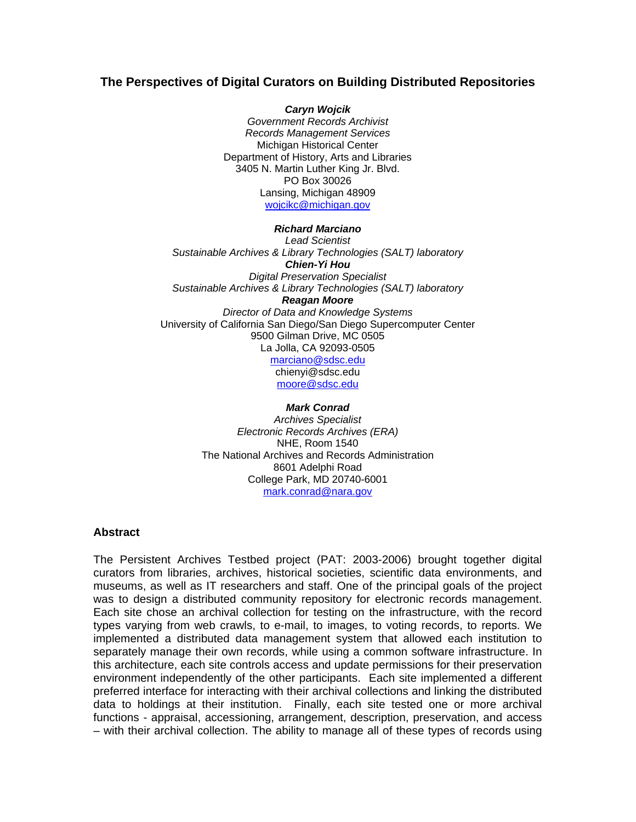## **The Perspectives of Digital Curators on Building Distributed Repositories**

*Caryn Wojcik Government Records Archivist Records Management Services*  Michigan Historical Center Department of History, Arts and Libraries 3405 N. Martin Luther King Jr. Blvd. PO Box 30026 Lansing, Michigan 48909 [wojcikc@michigan.gov](mailto:wojcikc@michigan.gov)

## *Richard Marciano*

*Lead Scientist Sustainable Archives & Library Technologies (SALT) laboratory Chien-Yi Hou Digital Preservation Specialist Sustainable Archives & Library Technologies (SALT) laboratory Reagan Moore Director of Data and Knowledge Systems*  University of California San Diego/San Diego Supercomputer Center 9500 Gilman Drive, MC 0505 La Jolla, CA 92093-0505 [marciano@sdsc.edu](mailto:marciano@sdsc.edu)  chienyi@sdsc.edu [moore@sdsc.edu](mailto:moore@sdsc.edu)

> *Mark Conrad Archives Specialist Electronic Records Archives (ERA)*  NHE, Room 1540 The National Archives and Records Administration 8601 Adelphi Road College Park, MD 20740-6001 [mark.conrad@nara.gov](mailto:mark.conrad@nara.gov)

## **Abstract**

The Persistent Archives Testbed project (PAT: 2003-2006) brought together digital curators from libraries, archives, historical societies, scientific data environments, and museums, as well as IT researchers and staff. One of the principal goals of the project was to design a distributed community repository for electronic records management. Each site chose an archival collection for testing on the infrastructure, with the record types varying from web crawls, to e-mail, to images, to voting records, to reports. We implemented a distributed data management system that allowed each institution to separately manage their own records, while using a common software infrastructure. In this architecture, each site controls access and update permissions for their preservation environment independently of the other participants. Each site implemented a different preferred interface for interacting with their archival collections and linking the distributed data to holdings at their institution. Finally, each site tested one or more archival functions - appraisal, accessioning, arrangement, description, preservation, and access – with their archival collection. The ability to manage all of these types of records using